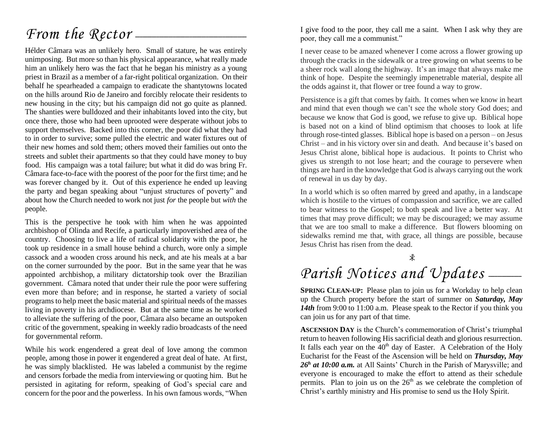# *From the Rector* —

Hélder Câmara was an unlikely hero. Small of stature, he was entirely unimposing. But more so than his physical appearance, what really made him an unlikely hero was the fact that he began his ministry as a young priest in Brazil as a member of a far-right political organization. On their behalf he spearheaded a campaign to eradicate the shantytowns located on the hills around Rio de Janeiro and forcibly relocate their residents to new housing in the city; but his campaign did not go quite as planned. The shanties were bulldozed and their inhabitants loved into the city, but once there, those who had been uprooted were desperate without jobs to support themselves. Backed into this corner, the poor did what they had to in order to survive; some pulled the electric and water fixtures out of their new homes and sold them; others moved their families out onto the streets and sublet their apartments so that they could have money to buy food. His campaign was a total failure; but what it did do was bring Fr. Câmara face-to-face with the poorest of the poor for the first time; and he was forever changed by it. Out of this experience he ended up leaving the party and began speaking about "unjust structures of poverty" and about how the Church needed to work not just *for* the people but *with* the people.

This is the perspective he took with him when he was appointed archbishop of Olinda and Recife, a particularly impoverished area of the country. Choosing to live a life of radical solidarity with the poor, he took up residence in a small house behind a church, wore only a simple cassock and a wooden cross around his neck, and ate his meals at a bar on the corner surrounded by the poor. But in the same year that he was appointed archbishop, a military dictatorship took over the Brazilian government. Câmara noted that under their rule the poor were suffering even more than before; and in response, he started a variety of social programs to help meet the basic material and spiritual needs of the masses living in poverty in his archdiocese. But at the same time as he worked to alleviate the suffering of the poor, Câmara also became an outspoken critic of the government, speaking in weekly radio broadcasts of the need for governmental reform.

While his work engendered a great deal of love among the common people, among those in power it engendered a great deal of hate. At first, he was simply blacklisted. He was labeled a communist by the regime and censors forbade the media from interviewing or quoting him. But he persisted in agitating for reform, speaking of God's special care and concern for the poor and the powerless. In his own famous words, "When I give food to the poor, they call me a saint. When I ask why they are poor, they call me a communist."

I never cease to be amazed whenever I come across a flower growing up through the cracks in the sidewalk or a tree growing on what seems to be a sheer rock wall along the highway. It's an image that always make me think of hope. Despite the seemingly impenetrable material, despite all the odds against it, that flower or tree found a way to grow.

Persistence is a gift that comes by faith. It comes when we know in heart and mind that even though we can't see the whole story God does; and because we know that God is good, we refuse to give up. Biblical hope is based not on a kind of blind optimism that chooses to look at life through rose-tinted glasses. Biblical hope is based on a person – on Jesus Christ – and in his victory over sin and death. And because it's based on Jesus Christ alone, biblical hope is audacious. It points to Christ who gives us strength to not lose heart; and the courage to persevere when things are hard in the knowledge that God is always carrying out the work of renewal in us day by day.

In a world which is so often marred by greed and apathy, in a landscape which is hostile to the virtues of compassion and sacrifice, we are called to bear witness to the Gospel; to both speak and live a better way. At times that may prove difficult; we may be discouraged; we may assume that we are too small to make a difference. But flowers blooming on sidewalks remind me that, with grace, all things are possible, because Jesus Christ has risen from the dead.

# Parish Notices and Updates -

**SPRING CLEAN-UP:** Please plan to join us for a Workday to help clean up the Church property before the start of summer on *Saturday, May*  14th from 9:00 to 11:00 a.m. Please speak to the Rector if you think you can join us for any part of that time.

**ASCENSION DAY** is the Church's commemoration of Christ's triumphal return to heaven following His sacrificial death and glorious resurrection. It falls each year on the  $40<sup>th</sup>$  day of Easter. A Celebration of the Holy Eucharist for the Feast of the Ascension will be held on *Thursday, May*  26<sup>*h*</sup> *at 10:00 a.m.* at All Saints' Church in the Parish of Marysville; and everyone is encouraged to make the effort to attend as their schedule permits. Plan to join us on the  $26<sup>th</sup>$  as we celebrate the completion of Christ's earthly ministry and His promise to send us the Holy Spirit.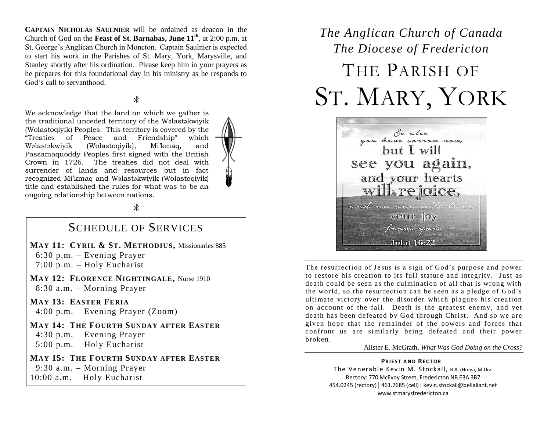**CAPTAIN NICHOLAS SAULNIER** will be ordained as deacon in the Church of God on the **Feast of St. Barnabas, June 11th**, at 2:00 p.m. at St. George's Anglican Church in Moncton. Captain Saulnier is expected to start his work in the Parishes of St. Mary, York, Marysville, and Stanley shortly after his ordination. Please keep him in your prayers as he prepares for this foundational day in his ministry as he responds to God's call to servanthood.

### $\ast$

We acknowledge that the land on which we gather is the traditional unceded territory of the Wəlastəkwiyik (Wolastoqiyik) Peoples. This territory is covered by the "Treaties of Peace and Friendship" which Wəlastəkwiyik (Wolastoqiyik), Mi'kmaq, and Passamaquoddy Peoples first signed with the British Crown in 1726. The treaties did not deal with surrender of lands and resources but in fact recognized Mi'kmaq and Wəlastəkwiyik (Wolastoqiyik) title and established the rules for what was to be an ongoing relationship between nations.

 $\ast$ 

### SCHEDULE OF SERVICES

**MAY 11: CYRIL & ST. METHODIUS,** Missionaries 885 6:30 p.m. – Evening Prayer 7:00 p.m. – Holy Eucharist

**MAY 12: FLORENCE NIGHTINGALE,** Nurse 1910 8:30 a.m. – Morning Prayer

**MAY 13: EASTER FERIA** 4:00 p.m. – Evening Prayer (Zoom)

**MAY 14: THE FOURTH SUNDAY AFTER EASTER** 4:30 p.m. – Evening Prayer 5:00 p.m. – Holy Eucharist

**MAY 15: THE FOURTH SUNDAY AFTER EASTER** 9:30 a.m. – Morning Prayer 10:00 a.m. – Holy Eucharist

# *The Anglican Church of Canada The Diocese of Fredericton* THE PARISH OF ST. MARY, YORK



The resurrection of Jesus is a sign of God's purpose and power to restore his creation to its full stature and integrity. Just as death could be seen as the culmination of all that is wrong with the world, so the resurrection can be seen as a pledge of God's ultimate victory over the disorder which plagues his creation on account of the fall. Death is the greatest enemy, and yet death has been defeated by God through Christ. And so we are given hope that the remainder of the powers and forces that confront us are similarly being defeated and their power broken.

#### Alister E. McGrath, *What Was God Doing on the Cross?*

### **PRIEST AND RECTOR**

The Venerable Kevin M. Stockall, B.A. (Hons), M.Div. Rectory: 770 McEvoy Street, Fredericton NB E3A 3B7 454.0245 (rectory) | 461.7685 (cell) | kevin.stockall@bellaliant.net www.stmarysfredericton.ca